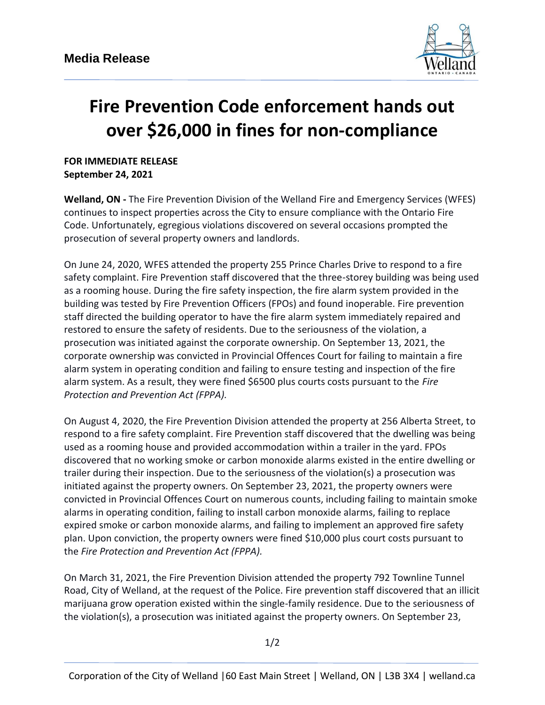

## **Fire Prevention Code enforcement hands out over \$26,000 in fines for non-compliance**

**FOR IMMEDIATE RELEASE September 24, 2021**

**Welland, ON -** The Fire Prevention Division of the Welland Fire and Emergency Services (WFES) continues to inspect properties across the City to ensure compliance with the Ontario Fire Code. Unfortunately, egregious violations discovered on several occasions prompted the prosecution of several property owners and landlords.

On June 24, 2020, WFES attended the property 255 Prince Charles Drive to respond to a fire safety complaint. Fire Prevention staff discovered that the three-storey building was being used as a rooming house. During the fire safety inspection, the fire alarm system provided in the building was tested by Fire Prevention Officers (FPOs) and found inoperable. Fire prevention staff directed the building operator to have the fire alarm system immediately repaired and restored to ensure the safety of residents. Due to the seriousness of the violation, a prosecution was initiated against the corporate ownership. On September 13, 2021, the corporate ownership was convicted in Provincial Offences Court for failing to maintain a fire alarm system in operating condition and failing to ensure testing and inspection of the fire alarm system. As a result, they were fined \$6500 plus courts costs pursuant to the *Fire Protection and Prevention Act (FPPA).*

On August 4, 2020, the Fire Prevention Division attended the property at 256 Alberta Street, to respond to a fire safety complaint. Fire Prevention staff discovered that the dwelling was being used as a rooming house and provided accommodation within a trailer in the yard. FPOs discovered that no working smoke or carbon monoxide alarms existed in the entire dwelling or trailer during their inspection. Due to the seriousness of the violation(s) a prosecution was initiated against the property owners. On September 23, 2021, the property owners were convicted in Provincial Offences Court on numerous counts, including failing to maintain smoke alarms in operating condition, failing to install carbon monoxide alarms, failing to replace expired smoke or carbon monoxide alarms, and failing to implement an approved fire safety plan. Upon conviction, the property owners were fined \$10,000 plus court costs pursuant to the *Fire Protection and Prevention Act (FPPA).*

On March 31, 2021, the Fire Prevention Division attended the property 792 Townline Tunnel Road, City of Welland, at the request of the Police. Fire prevention staff discovered that an illicit marijuana grow operation existed within the single-family residence. Due to the seriousness of the violation(s), a prosecution was initiated against the property owners. On September 23,